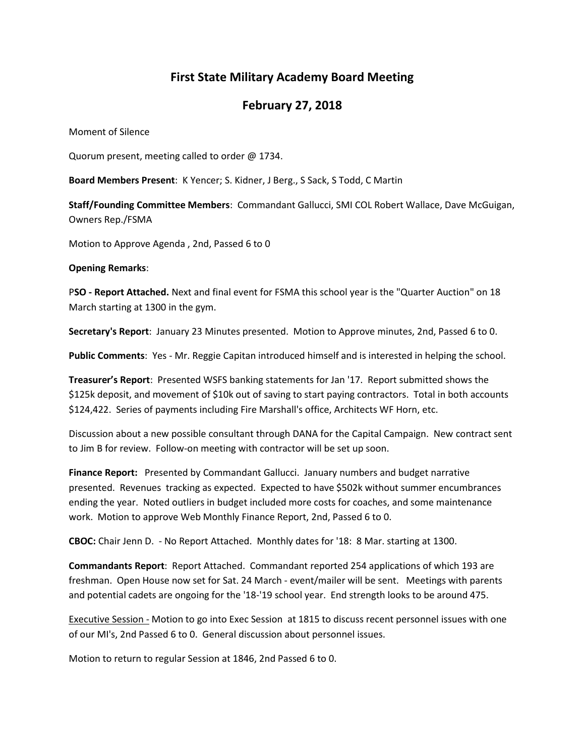## **First State Military Academy Board Meeting**

## **February 27, 2018**

Moment of Silence

Quorum present, meeting called to order @ 1734.

**Board Members Present**: K Yencer; S. Kidner, J Berg., S Sack, S Todd, C Martin

**Staff/Founding Committee Members**: Commandant Gallucci, SMI COL Robert Wallace, Dave McGuigan, Owners Rep./FSMA

Motion to Approve Agenda , 2nd, Passed 6 to 0

**Opening Remarks**:

P**SO - Report Attached.** Next and final event for FSMA this school year is the "Quarter Auction" on 18 March starting at 1300 in the gym.

**Secretary's Report**: January 23 Minutes presented. Motion to Approve minutes, 2nd, Passed 6 to 0.

**Public Comments**: Yes - Mr. Reggie Capitan introduced himself and is interested in helping the school.

**Treasurer's Report**: Presented WSFS banking statements for Jan '17. Report submitted shows the \$125k deposit, and movement of \$10k out of saving to start paying contractors. Total in both accounts \$124,422. Series of payments including Fire Marshall's office, Architects WF Horn, etc.

Discussion about a new possible consultant through DANA for the Capital Campaign. New contract sent to Jim B for review. Follow-on meeting with contractor will be set up soon.

**Finance Report:** Presented by Commandant Gallucci. January numbers and budget narrative presented. Revenues tracking as expected. Expected to have \$502k without summer encumbrances ending the year. Noted outliers in budget included more costs for coaches, and some maintenance work. Motion to approve Web Monthly Finance Report, 2nd, Passed 6 to 0.

**CBOC:** Chair Jenn D. - No Report Attached. Monthly dates for '18: 8 Mar. starting at 1300.

**Commandants Report**: Report Attached. Commandant reported 254 applications of which 193 are freshman. Open House now set for Sat. 24 March - event/mailer will be sent. Meetings with parents and potential cadets are ongoing for the '18-'19 school year. End strength looks to be around 475.

Executive Session - Motion to go into Exec Session at 1815 to discuss recent personnel issues with one of our MI's, 2nd Passed 6 to 0. General discussion about personnel issues.

Motion to return to regular Session at 1846, 2nd Passed 6 to 0.